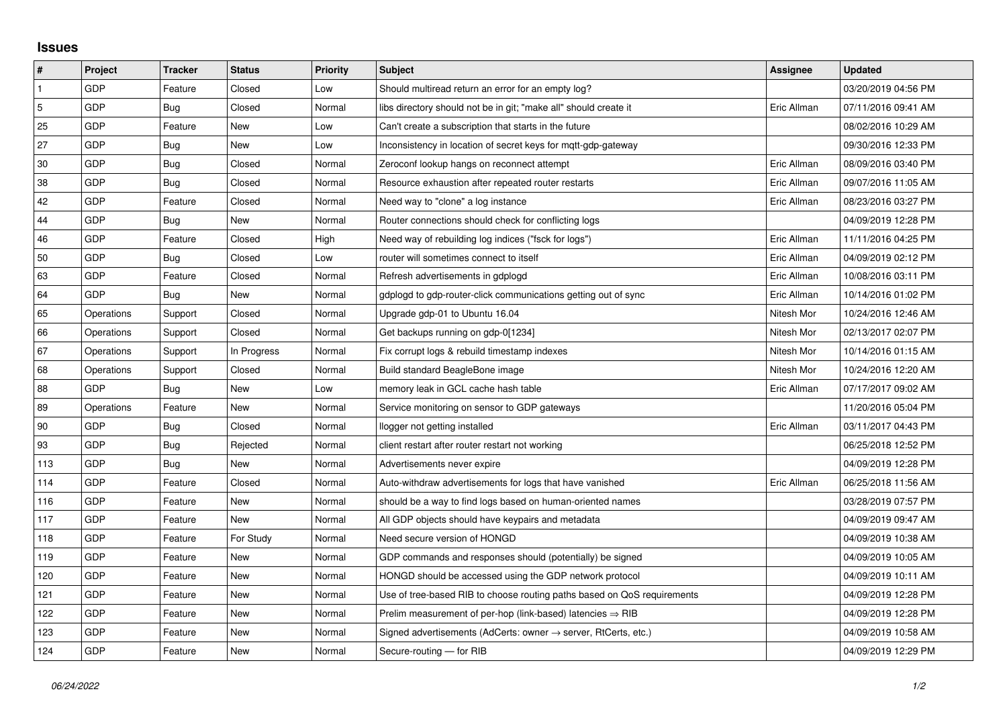## **Issues**

| $\vert$ #      | Project    | <b>Tracker</b> | <b>Status</b> | <b>Priority</b> | <b>Subject</b>                                                             | Assignee    | <b>Updated</b>      |
|----------------|------------|----------------|---------------|-----------------|----------------------------------------------------------------------------|-------------|---------------------|
| $\mathbf{1}$   | GDP        | Feature        | Closed        | Low             | Should multiread return an error for an empty log?                         |             | 03/20/2019 04:56 PM |
| $\overline{5}$ | GDP        | Bug            | Closed        | Normal          | libs directory should not be in git; "make all" should create it           | Eric Allman | 07/11/2016 09:41 AM |
| 25             | GDP        | Feature        | New           | Low             | Can't create a subscription that starts in the future                      |             | 08/02/2016 10:29 AM |
| 27             | GDP        | Bug            | New           | Low             | Inconsistency in location of secret keys for mgtt-gdp-gateway              |             | 09/30/2016 12:33 PM |
| 30             | GDP        | Bug            | Closed        | Normal          | Zeroconf lookup hangs on reconnect attempt                                 | Eric Allman | 08/09/2016 03:40 PM |
| 38             | GDP        | Bug            | Closed        | Normal          | Resource exhaustion after repeated router restarts                         | Eric Allman | 09/07/2016 11:05 AM |
| 42             | GDP        | Feature        | Closed        | Normal          | Need way to "clone" a log instance                                         | Eric Allman | 08/23/2016 03:27 PM |
| 44             | GDP        | Bug            | New           | Normal          | Router connections should check for conflicting logs                       |             | 04/09/2019 12:28 PM |
| 46             | GDP        | Feature        | Closed        | High            | Need way of rebuilding log indices ("fsck for logs")                       | Eric Allman | 11/11/2016 04:25 PM |
| 50             | GDP        | Bug            | Closed        | Low             | router will sometimes connect to itself                                    | Eric Allman | 04/09/2019 02:12 PM |
| 63             | GDP        | Feature        | Closed        | Normal          | Refresh advertisements in gdplogd                                          | Eric Allman | 10/08/2016 03:11 PM |
| 64             | GDP        | Bug            | New           | Normal          | gdplogd to gdp-router-click communications getting out of sync             | Eric Allman | 10/14/2016 01:02 PM |
| 65             | Operations | Support        | Closed        | Normal          | Upgrade gdp-01 to Ubuntu 16.04                                             | Nitesh Mor  | 10/24/2016 12:46 AM |
| 66             | Operations | Support        | Closed        | Normal          | Get backups running on gdp-0[1234]                                         | Nitesh Mor  | 02/13/2017 02:07 PM |
| 67             | Operations | Support        | In Progress   | Normal          | Fix corrupt logs & rebuild timestamp indexes                               | Nitesh Mor  | 10/14/2016 01:15 AM |
| 68             | Operations | Support        | Closed        | Normal          | Build standard BeagleBone image                                            | Nitesh Mor  | 10/24/2016 12:20 AM |
| 88             | GDP        | Bug            | New           | Low             | memory leak in GCL cache hash table                                        | Eric Allman | 07/17/2017 09:02 AM |
| 89             | Operations | Feature        | New           | Normal          | Service monitoring on sensor to GDP gateways                               |             | 11/20/2016 05:04 PM |
| 90             | GDP        | Bug            | Closed        | Normal          | llogger not getting installed                                              | Eric Allman | 03/11/2017 04:43 PM |
| 93             | GDP        | Bug            | Rejected      | Normal          | client restart after router restart not working                            |             | 06/25/2018 12:52 PM |
| 113            | GDP        | Bug            | New           | Normal          | Advertisements never expire                                                |             | 04/09/2019 12:28 PM |
| 114            | GDP        | Feature        | Closed        | Normal          | Auto-withdraw advertisements for logs that have vanished                   | Eric Allman | 06/25/2018 11:56 AM |
| 116            | GDP        | Feature        | New           | Normal          | should be a way to find logs based on human-oriented names                 |             | 03/28/2019 07:57 PM |
| 117            | GDP        | Feature        | New           | Normal          | All GDP objects should have keypairs and metadata                          |             | 04/09/2019 09:47 AM |
| 118            | GDP        | Feature        | For Study     | Normal          | Need secure version of HONGD                                               |             | 04/09/2019 10:38 AM |
| 119            | GDP        | Feature        | New           | Normal          | GDP commands and responses should (potentially) be signed                  |             | 04/09/2019 10:05 AM |
| 120            | GDP        | Feature        | New           | Normal          | HONGD should be accessed using the GDP network protocol                    |             | 04/09/2019 10:11 AM |
| 121            | GDP        | Feature        | New           | Normal          | Use of tree-based RIB to choose routing paths based on QoS requirements    |             | 04/09/2019 12:28 PM |
| 122            | GDP        | Feature        | New           | Normal          | Prelim measurement of per-hop (link-based) latencies $\Rightarrow$ RIB     |             | 04/09/2019 12:28 PM |
| 123            | GDP        | Feature        | New           | Normal          | Signed advertisements (AdCerts: owner $\rightarrow$ server, RtCerts, etc.) |             | 04/09/2019 10:58 AM |
| 124            | GDP        | Feature        | <b>New</b>    | Normal          | Secure-routing - for RIB                                                   |             | 04/09/2019 12:29 PM |